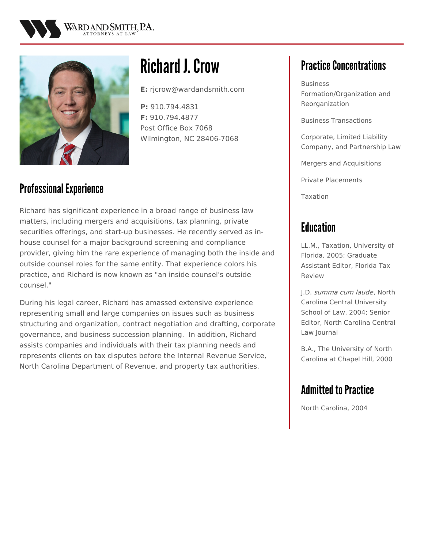



# **Richard J. Crow**

**E:** rjcrow@wardandsmith.com

**P:** 910.794.4831 **F:** 910.794.4877 Post Office Box 7068 Wilmington, NC 28406-7068

#### Professional Experience

Richard has significant experience in a broad range of business law matters, including mergers and acquisitions, tax planning, private securities offerings, and start-up businesses. He recently served as inhouse counsel for a major background screening and compliance provider, giving him the rare experience of managing both the inside and outside counsel roles for the same entity. That experience colors his practice, and Richard is now known as "an inside counsel's outside counsel."

During his legal career, Richard has amassed extensive experience representing small and large companies on issues such as business structuring and organization, contract negotiation and drafting, corporate governance, and business succession planning. In addition, Richard assists companies and individuals with their tax planning needs and represents clients on tax disputes before the Internal Revenue Service, North Carolina Department of Revenue, and property tax authorities.

## **Practice Concentrations**

Business Formation/Organization and Reorganization

Business Transactions

Corporate, Limited Liability Company, and Partnership Law

Mergers and Acquisitions

Private Placements

Taxation

#### **Education**

LL.M., Taxation, University of Florida, 2005; Graduate Assistant Editor, Florida Tax Review

J.D. summa cum laude, North Carolina Central University School of Law, 2004; Senior Editor, North Carolina Central Law Journal

B.A., The University of North Carolina at Chapel Hill, 2000

## **Admitted to Practice**

North Carolina, 2004